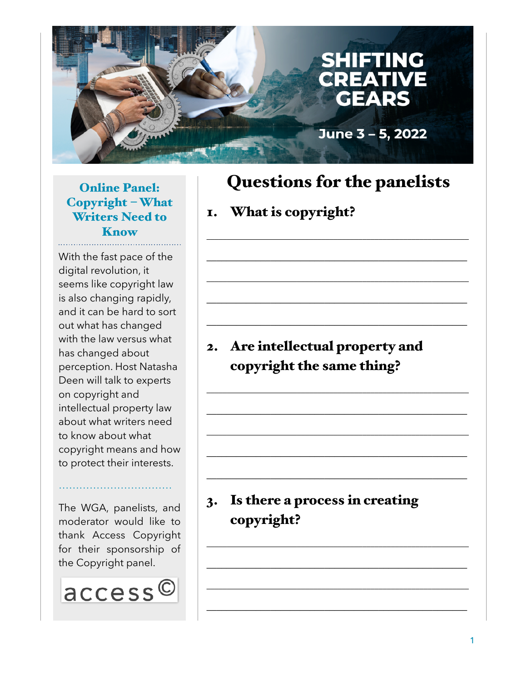

#### Online Panel: Copyright – What Writers Need to **Know**

With the fast pace of the digital revolution, it seems like copyright law is also changing rapidly, and it can be hard to sort out what has changed with the law versus what has changed about perception. Host Natasha Deen will talk to experts on copyright and intellectual property law about what writers need to know about what copyright means and how to protect their interests.

The WGA, panelists, and moderator would like to thank Access Copyright for their sponsorship of the Copyright panel.

……………………………



# Questions for the panelists

 $\mathcal{L}_\text{max}$  and  $\mathcal{L}_\text{max}$  and  $\mathcal{L}_\text{max}$  and  $\mathcal{L}_\text{max}$  and  $\mathcal{L}_\text{max}$ 

 $\mathcal{L}_\text{max}$  and  $\mathcal{L}_\text{max}$  and  $\mathcal{L}_\text{max}$  and  $\mathcal{L}_\text{max}$  and  $\mathcal{L}_\text{max}$ 

 $\mathcal{L}_\text{max}$  and  $\mathcal{L}_\text{max}$  and  $\mathcal{L}_\text{max}$  and  $\mathcal{L}_\text{max}$  and  $\mathcal{L}_\text{max}$ 

 $\frac{1}{2}$  , and the set of the set of the set of the set of the set of the set of the set of the set of the set of the set of the set of the set of the set of the set of the set of the set of the set of the set of the set

 $\mathcal{L}_\text{max}$  and  $\mathcal{L}_\text{max}$  and  $\mathcal{L}_\text{max}$  and  $\mathcal{L}_\text{max}$  and  $\mathcal{L}_\text{max}$ 

 $\mathcal{L}_\text{max}$  and  $\mathcal{L}_\text{max}$  and  $\mathcal{L}_\text{max}$  and  $\mathcal{L}_\text{max}$  and  $\mathcal{L}_\text{max}$ 

 $\mathcal{L}_\text{max}$  and  $\mathcal{L}_\text{max}$  and  $\mathcal{L}_\text{max}$  and  $\mathcal{L}_\text{max}$  and  $\mathcal{L}_\text{max}$ 

 $\mathcal{L}_\text{max}$  and  $\mathcal{L}_\text{max}$  and  $\mathcal{L}_\text{max}$  and  $\mathcal{L}_\text{max}$  and  $\mathcal{L}_\text{max}$ 

 $\mathcal{L}_\text{max}$  and  $\mathcal{L}_\text{max}$  and  $\mathcal{L}_\text{max}$  and  $\mathcal{L}_\text{max}$  and  $\mathcal{L}_\text{max}$ 

 $\mathcal{L}_\text{max}$  and  $\mathcal{L}_\text{max}$  and  $\mathcal{L}_\text{max}$  and  $\mathcal{L}_\text{max}$  and  $\mathcal{L}_\text{max}$ 

 $\mathcal{L}_\text{max}$  and  $\mathcal{L}_\text{max}$  and  $\mathcal{L}_\text{max}$  and  $\mathcal{L}_\text{max}$  and  $\mathcal{L}_\text{max}$ 

 $\frac{1}{2}$  , and the set of the set of the set of the set of the set of the set of the set of the set of the set of the set of the set of the set of the set of the set of the set of the set of the set of the set of the set

 $\mathcal{L}_\text{max}$  and  $\mathcal{L}_\text{max}$  and  $\mathcal{L}_\text{max}$  and  $\mathcal{L}_\text{max}$  and  $\mathcal{L}_\text{max}$ 

 $\mathcal{L}_\text{max}$  and  $\mathcal{L}_\text{max}$  and  $\mathcal{L}_\text{max}$  and  $\mathcal{L}_\text{max}$  and  $\mathcal{L}_\text{max}$ 

## 1. What is copyright?

## 2. Are intellectual property and copyright the same thing?

## 3. Is there a process in creating copyright?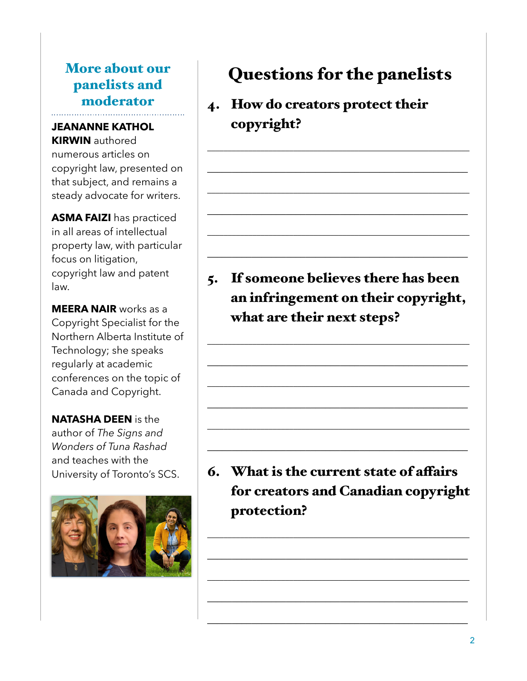## More about our panelists and moderator

#### **JEANANNE KATHOL KIRWIN** authored

numerous articles on copyright law, presented on that subject, and remains a steady advocate for writers.

**ASMA FAIZI** has practiced in all areas of intellectual property law, with particular focus on litigation, copyright law and patent law.

**MEERA NAIR** works as a Copyright Specialist for the Northern Alberta Institute of Technology; she speaks regularly at academic conferences on the topic of Canada and Copyright.

**NATASHA DEEN** is the author of *The Signs and Wonders of Tuna Rashad*  and teaches with the University of Toronto's SCS.



# Questions for the panelists

 $\overline{\phantom{a}}$  , and the contribution of  $\overline{\phantom{a}}$  , and  $\overline{\phantom{a}}$  , and  $\overline{\phantom{a}}$  , and  $\overline{\phantom{a}}$  , and  $\overline{\phantom{a}}$ 

 $\frac{1}{2}$  ,  $\frac{1}{2}$  ,  $\frac{1}{2}$  ,  $\frac{1}{2}$  ,  $\frac{1}{2}$  ,  $\frac{1}{2}$  ,  $\frac{1}{2}$  ,  $\frac{1}{2}$  ,  $\frac{1}{2}$  ,  $\frac{1}{2}$  ,  $\frac{1}{2}$  ,  $\frac{1}{2}$  ,  $\frac{1}{2}$  ,  $\frac{1}{2}$  ,  $\frac{1}{2}$  ,  $\frac{1}{2}$  ,  $\frac{1}{2}$  ,  $\frac{1}{2}$  ,  $\frac{1$ 

 $\overline{\phantom{a}}$  , and the contribution of  $\overline{\phantom{a}}$  , and  $\overline{\phantom{a}}$  , and  $\overline{\phantom{a}}$  , and  $\overline{\phantom{a}}$  , and  $\overline{\phantom{a}}$ 

 $\frac{1}{2}$  ,  $\frac{1}{2}$  ,  $\frac{1}{2}$  ,  $\frac{1}{2}$  ,  $\frac{1}{2}$  ,  $\frac{1}{2}$  ,  $\frac{1}{2}$  ,  $\frac{1}{2}$  ,  $\frac{1}{2}$  ,  $\frac{1}{2}$  ,  $\frac{1}{2}$  ,  $\frac{1}{2}$  ,  $\frac{1}{2}$  ,  $\frac{1}{2}$  ,  $\frac{1}{2}$  ,  $\frac{1}{2}$  ,  $\frac{1}{2}$  ,  $\frac{1}{2}$  ,  $\frac{1$ 

\_\_\_\_\_\_\_\_\_\_\_\_\_\_\_\_\_\_\_\_\_\_\_\_\_\_\_\_\_\_\_\_\_\_\_\_\_\_\_\_\_\_\_\_\_\_\_\_\_\_\_\_\_\_\_\_\_\_\_\_\_\_\_\_

 $\frac{1}{2}$  ,  $\frac{1}{2}$  ,  $\frac{1}{2}$  ,  $\frac{1}{2}$  ,  $\frac{1}{2}$  ,  $\frac{1}{2}$  ,  $\frac{1}{2}$  ,  $\frac{1}{2}$  ,  $\frac{1}{2}$  ,  $\frac{1}{2}$  ,  $\frac{1}{2}$  ,  $\frac{1}{2}$  ,  $\frac{1}{2}$  ,  $\frac{1}{2}$  ,  $\frac{1}{2}$  ,  $\frac{1}{2}$  ,  $\frac{1}{2}$  ,  $\frac{1}{2}$  ,  $\frac{1$ 

4. How do creators protect their copyright?

5. If someone believes there has been an infringement on their copyright, what are their next steps?

 $\overline{\phantom{a}}$  , and the contribution of  $\overline{\phantom{a}}$  , and  $\overline{\phantom{a}}$  , and  $\overline{\phantom{a}}$  , and  $\overline{\phantom{a}}$  , and  $\overline{\phantom{a}}$ 

 $\frac{1}{2}$  ,  $\frac{1}{2}$  ,  $\frac{1}{2}$  ,  $\frac{1}{2}$  ,  $\frac{1}{2}$  ,  $\frac{1}{2}$  ,  $\frac{1}{2}$  ,  $\frac{1}{2}$  ,  $\frac{1}{2}$  ,  $\frac{1}{2}$  ,  $\frac{1}{2}$  ,  $\frac{1}{2}$  ,  $\frac{1}{2}$  ,  $\frac{1}{2}$  ,  $\frac{1}{2}$  ,  $\frac{1}{2}$  ,  $\frac{1}{2}$  ,  $\frac{1}{2}$  ,  $\frac{1$ 

 $\overline{\phantom{a}}$  , and the contribution of  $\overline{\phantom{a}}$  , and  $\overline{\phantom{a}}$  , and  $\overline{\phantom{a}}$  , and  $\overline{\phantom{a}}$  , and  $\overline{\phantom{a}}$ 

 $\frac{1}{2}$  ,  $\frac{1}{2}$  ,  $\frac{1}{2}$  ,  $\frac{1}{2}$  ,  $\frac{1}{2}$  ,  $\frac{1}{2}$  ,  $\frac{1}{2}$  ,  $\frac{1}{2}$  ,  $\frac{1}{2}$  ,  $\frac{1}{2}$  ,  $\frac{1}{2}$  ,  $\frac{1}{2}$  ,  $\frac{1}{2}$  ,  $\frac{1}{2}$  ,  $\frac{1}{2}$  ,  $\frac{1}{2}$  ,  $\frac{1}{2}$  ,  $\frac{1}{2}$  ,  $\frac{1$ 

\_\_\_\_\_\_\_\_\_\_\_\_\_\_\_\_\_\_\_\_\_\_\_\_\_\_\_\_\_\_\_\_\_\_\_\_\_\_\_\_\_\_\_\_\_\_\_\_\_\_\_\_\_\_\_\_\_\_\_\_\_\_\_\_

 $\frac{1}{2}$  ,  $\frac{1}{2}$  ,  $\frac{1}{2}$  ,  $\frac{1}{2}$  ,  $\frac{1}{2}$  ,  $\frac{1}{2}$  ,  $\frac{1}{2}$  ,  $\frac{1}{2}$  ,  $\frac{1}{2}$  ,  $\frac{1}{2}$  ,  $\frac{1}{2}$  ,  $\frac{1}{2}$  ,  $\frac{1}{2}$  ,  $\frac{1}{2}$  ,  $\frac{1}{2}$  ,  $\frac{1}{2}$  ,  $\frac{1}{2}$  ,  $\frac{1}{2}$  ,  $\frac{1$ 

6. What is the current state of affairs for creators and Canadian copyright protection?

 $\overline{\phantom{a}}$  , and the contribution of  $\overline{\phantom{a}}$  , and  $\overline{\phantom{a}}$  , and  $\overline{\phantom{a}}$  , and  $\overline{\phantom{a}}$  , and  $\overline{\phantom{a}}$ 

 $\frac{1}{2}$  ,  $\frac{1}{2}$  ,  $\frac{1}{2}$  ,  $\frac{1}{2}$  ,  $\frac{1}{2}$  ,  $\frac{1}{2}$  ,  $\frac{1}{2}$  ,  $\frac{1}{2}$  ,  $\frac{1}{2}$  ,  $\frac{1}{2}$  ,  $\frac{1}{2}$  ,  $\frac{1}{2}$  ,  $\frac{1}{2}$  ,  $\frac{1}{2}$  ,  $\frac{1}{2}$  ,  $\frac{1}{2}$  ,  $\frac{1}{2}$  ,  $\frac{1}{2}$  ,  $\frac{1$ 

 $\overline{\phantom{a}}$  , and the contribution of  $\overline{\phantom{a}}$  , and  $\overline{\phantom{a}}$  , and  $\overline{\phantom{a}}$  , and  $\overline{\phantom{a}}$  , and  $\overline{\phantom{a}}$ 

 $\frac{1}{2}$  ,  $\frac{1}{2}$  ,  $\frac{1}{2}$  ,  $\frac{1}{2}$  ,  $\frac{1}{2}$  ,  $\frac{1}{2}$  ,  $\frac{1}{2}$  ,  $\frac{1}{2}$  ,  $\frac{1}{2}$  ,  $\frac{1}{2}$  ,  $\frac{1}{2}$  ,  $\frac{1}{2}$  ,  $\frac{1}{2}$  ,  $\frac{1}{2}$  ,  $\frac{1}{2}$  ,  $\frac{1}{2}$  ,  $\frac{1}{2}$  ,  $\frac{1}{2}$  ,  $\frac{1$ 

 $\frac{1}{2}$  ,  $\frac{1}{2}$  ,  $\frac{1}{2}$  ,  $\frac{1}{2}$  ,  $\frac{1}{2}$  ,  $\frac{1}{2}$  ,  $\frac{1}{2}$  ,  $\frac{1}{2}$  ,  $\frac{1}{2}$  ,  $\frac{1}{2}$  ,  $\frac{1}{2}$  ,  $\frac{1}{2}$  ,  $\frac{1}{2}$  ,  $\frac{1}{2}$  ,  $\frac{1}{2}$  ,  $\frac{1}{2}$  ,  $\frac{1}{2}$  ,  $\frac{1}{2}$  ,  $\frac{1$